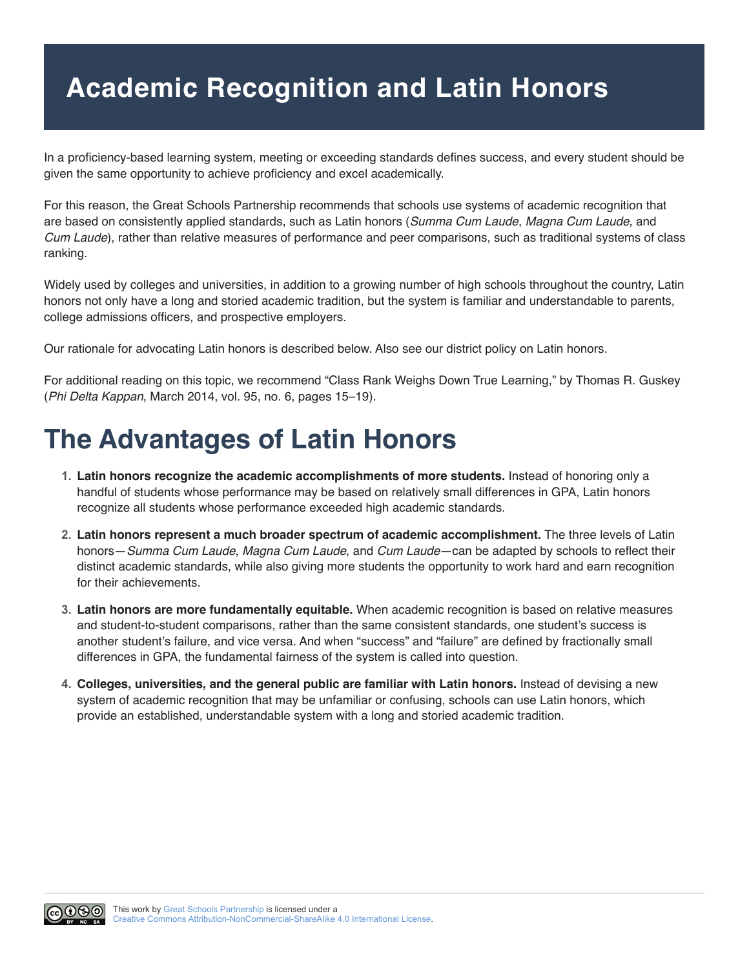## **Academic Recognition and Latin Honors**

In a proficiency-based learning system, meeting or exceeding standards defines success, and every student should be given the same opportunity to achieve proficiency and excel academically.

For this reason, the Great Schools Partnership recommends that schools use systems of academic recognition that are based on consistently applied standards, such as Latin honors (*Summa Cum Laude*, *Magna Cum Laude*, and *Cum Laude*), rather than relative measures of performance and peer comparisons, such as traditional systems of class ranking.

Widely used by colleges and universities, in addition to a growing number of high schools throughout the country, Latin honors not only have a long and storied academic tradition, but the system is familiar and understandable to parents, college admissions officers, and prospective employers.

Our rationale for advocating Latin honors is described below. Also see our district policy on Latin honors.

For additional reading on this topic, we recommend "Class Rank Weighs Down True Learning," by Thomas R. Guskey (*Phi Delta Kappan*, March 2014, vol. 95, no. 6, pages 15–19).

## **The Advantages of Latin Honors**

- **1. Latin honors recognize the academic accomplishments of more students.** Instead of honoring only a handful of students whose performance may be based on relatively small differences in GPA, Latin honors recognize all students whose performance exceeded high academic standards.
- **2. Latin honors represent a much broader spectrum of academic accomplishment.** The three levels of Latin honors—*Summa Cum Laude*, *Magna Cum Laude*, and *Cum Laude*—can be adapted by schools to reflect their distinct academic standards, while also giving more students the opportunity to work hard and earn recognition for their achievements.
- **3. Latin honors are more fundamentally equitable.** When academic recognition is based on relative measures and student-to-student comparisons, rather than the same consistent standards, one student's success is another student's failure, and vice versa. And when "success" and "failure" are defined by fractionally small differences in GPA, the fundamental fairness of the system is called into question.
- **4. Colleges, universities, and the general public are familiar with Latin honors.** Instead of devising a new system of academic recognition that may be unfamiliar or confusing, schools can use Latin honors, which provide an established, understandable system with a long and storied academic tradition.